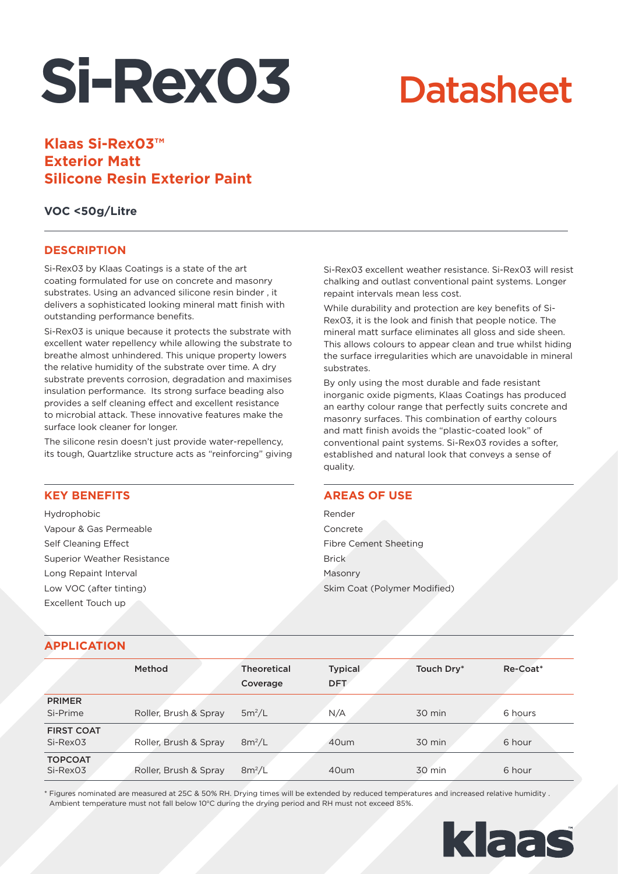# **Si-Rex03**

## **Datasheet**

### **Klaas Si-Rex03™ Exterior Matt Silicone Resin Exterior Paint**

#### **VOC <50g/Litre**

#### **DESCRIPTION**

Si-Rex03 by Klaas Coatings is a state of the art coating formulated for use on concrete and masonry substrates. Using an advanced silicone resin binder , it delivers a sophisticated looking mineral matt finish with outstanding performance benefits.

Si-Rex03 is unique because it protects the substrate with excellent water repellency while allowing the substrate to breathe almost unhindered. This unique property lowers the relative humidity of the substrate over time. A dry substrate prevents corrosion, degradation and maximises insulation performance. Its strong surface beading also provides a self cleaning effect and excellent resistance to microbial attack. These innovative features make the surface look cleaner for longer.

The silicone resin doesn't just provide water-repellency, its tough, Quartzlike structure acts as "reinforcing" giving

#### **KEY BENEFITS**

Hydrophobic Vapour & Gas Permeable Self Cleaning Effect Superior Weather Resistance Long Repaint Interval Low VOC (after tinting) Excellent Touch up

Si-Rex03 excellent weather resistance. Si-Rex03 will resist chalking and outlast conventional paint systems. Longer repaint intervals mean less cost.

While durability and protection are key benefits of Si-Rex03, it is the look and finish that people notice. The mineral matt surface eliminates all gloss and side sheen. This allows colours to appear clean and true whilst hiding the surface irregularities which are unavoidable in mineral substrates.

By only using the most durable and fade resistant inorganic oxide pigments, Klaas Coatings has produced an earthy colour range that perfectly suits concrete and masonry surfaces. This combination of earthy colours and matt finish avoids the "plastic-coated look" of conventional paint systems. Si-Rex03 rovides a softer, established and natural look that conveys a sense of quality.

#### **AREAS OF USE**

Render Concrete Fibre Cement Sheeting **Brick** Masonry Skim Coat (Polymer Modified)

#### **APPLICATION**

|                            | <b>Method</b>         | <b>Theoretical</b><br>Coverage | <b>Typical</b><br><b>DFT</b> | Touch Dry* | Re-Coat* |
|----------------------------|-----------------------|--------------------------------|------------------------------|------------|----------|
| <b>PRIMER</b>              |                       |                                |                              |            |          |
| Si-Prime                   | Roller, Brush & Spray | $5m^2/L$                       | N/A                          | 30 min     | 6 hours  |
| <b>FIRST COAT</b>          |                       |                                |                              |            |          |
| Si-Rex03                   | Roller, Brush & Spray | $8m^2/L$                       | 40um                         | 30 min     | 6 hour   |
| <b>TOPCOAT</b><br>Si-Rex03 | Roller, Brush & Spray | $8m^2/L$                       | 40um                         | 30 min     | 6 hour   |

\* Figures nominated are measured at 25C & 50% RH. Drying times will be extended by reduced temperatures and increased relative humidity . Ambient temperature must not fall below 10°C during the drying period and RH must not exceed 85%.